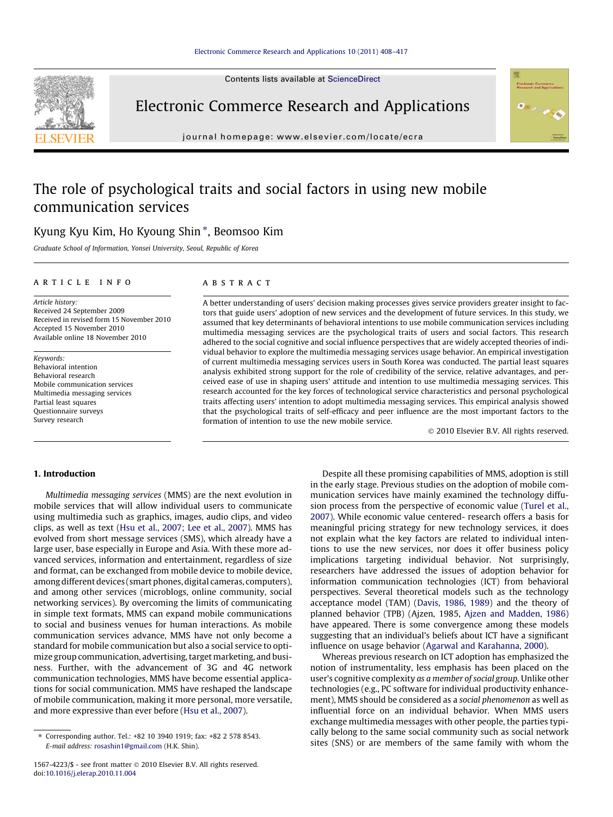Contents lists available at [ScienceDirect](http://www.sciencedirect.com/science/journal/15674223)



Electronic Commerce Research and Applications

journal homepage: [www.elsevier.com/locate/ecra](http://www.elsevier.com/locate/ecra)

# The role of psychological traits and social factors in using new mobile communication services

## Kyung Kyu Kim, Ho Kyoung Shin \*, Beomsoo Kim

Graduate School of Information, Yonsei University, Seoul, Republic of Korea

## article info

Article history: Received 24 September 2009 Received in revised form 15 November 2010 Accepted 15 November 2010 Available online 18 November 2010

Keywords: Behavioral intention Behavioral research Mobile communication services Multimedia messaging services Partial least squares Questionnaire surveys Survey research

## ABSTRACT

A better understanding of users' decision making processes gives service providers greater insight to factors that guide users' adoption of new services and the development of future services. In this study, we assumed that key determinants of behavioral intentions to use mobile communication services including multimedia messaging services are the psychological traits of users and social factors. This research adhered to the social cognitive and social influence perspectives that are widely accepted theories of individual behavior to explore the multimedia messaging services usage behavior. An empirical investigation of current multimedia messaging services users in South Korea was conducted. The partial least squares analysis exhibited strong support for the role of credibility of the service, relative advantages, and perceived ease of use in shaping users' attitude and intention to use multimedia messaging services. This research accounted for the key forces of technological service characteristics and personal psychological traits affecting users' intention to adopt multimedia messaging services. This empirical analysis showed that the psychological traits of self-efficacy and peer influence are the most important factors to the formation of intention to use the new mobile service.

- 2010 Elsevier B.V. All rights reserved.

## 1. Introduction

Multimedia messaging services (MMS) are the next evolution in mobile services that will allow individual users to communicate using multimedia such as graphics, images, audio clips, and video clips, as well as text [\(Hsu et al., 2007; Lee et al., 2007\)](#page-8-0). MMS has evolved from short message services (SMS), which already have a large user, base especially in Europe and Asia. With these more advanced services, information and entertainment, regardless of size and format, can be exchanged from mobile device to mobile device, among different devices (smart phones, digital cameras, computers), and among other services (microblogs, online community, social networking services). By overcoming the limits of communicating in simple text formats, MMS can expand mobile communications to social and business venues for human interactions. As mobile communication services advance, MMS have not only become a standard for mobile communication but also a social service to optimize group communication, advertising, target marketing, and business. Further, with the advancement of 3G and 4G network communication technologies, MMS have become essential applications for social communication. MMS have reshaped the landscape of mobile communication, making it more personal, more versatile, and more expressive than ever before [\(Hsu et al., 2007\)](#page-8-0).

Despite all these promising capabilities of MMS, adoption is still in the early stage. Previous studies on the adoption of mobile communication services have mainly examined the technology diffusion process from the perspective of economic value [\(Turel et al.,](#page-9-0) [2007\)](#page-9-0). While economic value centered- research offers a basis for meaningful pricing strategy for new technology services, it does not explain what the key factors are related to individual intentions to use the new services, nor does it offer business policy implications targeting individual behavior. Not surprisingly, researchers have addressed the issues of adoption behavior for information communication technologies (ICT) from behavioral perspectives. Several theoretical models such as the technology acceptance model (TAM) [\(Davis, 1986, 1989\)](#page-8-0) and the theory of planned behavior (TPB) (Ajzen, 1985, [Ajzen and Madden, 1986\)](#page-8-0) have appeared. There is some convergence among these models suggesting that an individual's beliefs about ICT have a significant influence on usage behavior [\(Agarwal and Karahanna, 2000](#page-8-0)).

Whereas previous research on ICT adoption has emphasized the notion of instrumentality, less emphasis has been placed on the user's cognitive complexity as a member of social group. Unlike other technologies (e.g., PC software for individual productivity enhancement), MMS should be considered as a social phenomenon as well as influential force on an individual behavior. When MMS users exchange multimedia messages with other people, the parties typically belong to the same social community such as social network sites (SNS) or are members of the same family with whom the

<sup>⇑</sup> Corresponding author. Tel.: +82 10 3940 1919; fax: +82 2 578 8543. E-mail address: [rosashin1@gmail.com](mailto:rosashin1@gmail.com) (H.K. Shin).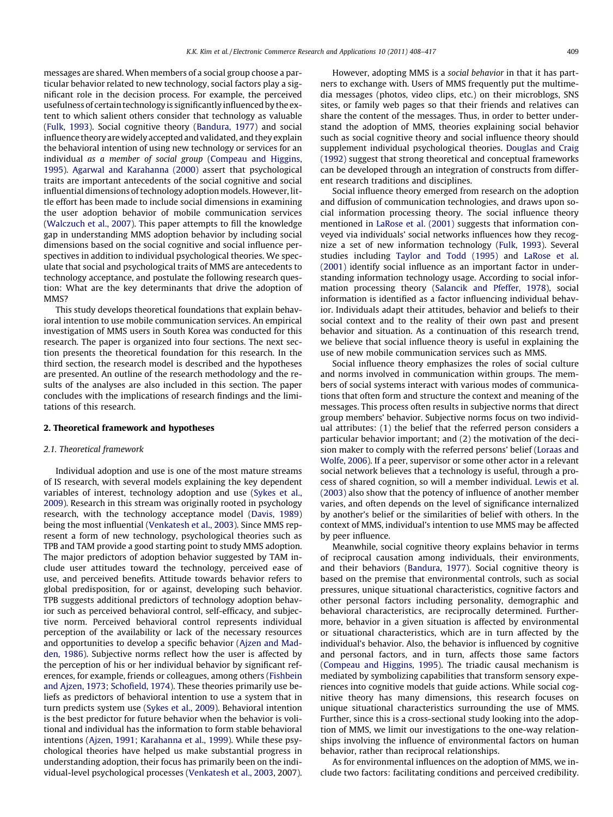messages are shared. When members of a social group choose a particular behavior related to new technology, social factors play a significant role in the decision process. For example, the perceived usefulness of certain technology is significantly influenced by the extent to which salient others consider that technology as valuable ([Fulk, 1993](#page-8-0)). Social cognitive theory [\(Bandura, 1977](#page-8-0)) and social influence theory are widely accepted and validated, and they explain the behavioral intention of using new technology or services for an individual as a member of social group ([Compeau and Higgins,](#page-8-0) [1995\)](#page-8-0). [Agarwal and Karahanna \(2000\)](#page-8-0) assert that psychological traits are important antecedents of the social cognitive and social influential dimensions of technology adoption models. However, little effort has been made to include social dimensions in examining the user adoption behavior of mobile communication services ([Walczuch et al., 2007\)](#page-9-0). This paper attempts to fill the knowledge gap in understanding MMS adoption behavior by including social dimensions based on the social cognitive and social influence perspectives in addition to individual psychological theories. We speculate that social and psychological traits of MMS are antecedents to technology acceptance, and postulate the following research question: What are the key determinants that drive the adoption of M<sub>MS</sub>

This study develops theoretical foundations that explain behavioral intention to use mobile communication services. An empirical investigation of MMS users in South Korea was conducted for this research. The paper is organized into four sections. The next section presents the theoretical foundation for this research. In the third section, the research model is described and the hypotheses are presented. An outline of the research methodology and the results of the analyses are also included in this section. The paper concludes with the implications of research findings and the limitations of this research.

## 2. Theoretical framework and hypotheses

## 2.1. Theoretical framework

Individual adoption and use is one of the most mature streams of IS research, with several models explaining the key dependent variables of interest, technology adoption and use ([Sykes et al.,](#page-9-0) [2009](#page-9-0)). Research in this stream was originally rooted in psychology research, with the technology acceptance model [\(Davis, 1989\)](#page-8-0) being the most influential ([Venkatesh et al., 2003](#page-9-0)). Since MMS represent a form of new technology, psychological theories such as TPB and TAM provide a good starting point to study MMS adoption. The major predictors of adoption behavior suggested by TAM include user attitudes toward the technology, perceived ease of use, and perceived benefits. Attitude towards behavior refers to global predisposition, for or against, developing such behavior. TPB suggests additional predictors of technology adoption behavior such as perceived behavioral control, self-efficacy, and subjective norm. Perceived behavioral control represents individual perception of the availability or lack of the necessary resources and opportunities to develop a specific behavior ([Ajzen and Mad](#page-8-0)[den, 1986\)](#page-8-0). Subjective norms reflect how the user is affected by the perception of his or her individual behavior by significant references, for example, friends or colleagues, among others ([Fishbein](#page-8-0) [and Ajzen, 1973; Schofield, 1974](#page-8-0)). These theories primarily use beliefs as predictors of behavioral intention to use a system that in turn predicts system use ([Sykes et al., 2009\)](#page-9-0). Behavioral intention is the best predictor for future behavior when the behavior is volitional and individual has the information to form stable behavioral intentions ([Ajzen, 1991; Karahanna et al., 1999\)](#page-8-0). While these psychological theories have helped us make substantial progress in understanding adoption, their focus has primarily been on the individual-level psychological processes ([Venkatesh et al., 2003,](#page-9-0) 2007).

However, adopting MMS is a social behavior in that it has partners to exchange with. Users of MMS frequently put the multimedia messages (photos, video clips, etc.) on their microblogs, SNS sites, or family web pages so that their friends and relatives can share the content of the messages. Thus, in order to better understand the adoption of MMS, theories explaining social behavior such as social cognitive theory and social influence theory should supplement individual psychological theories. [Douglas and Craig](#page-8-0) [\(1992\)](#page-8-0) suggest that strong theoretical and conceptual frameworks can be developed through an integration of constructs from different research traditions and disciplines.

Social influence theory emerged from research on the adoption and diffusion of communication technologies, and draws upon social information processing theory. The social influence theory mentioned in [LaRose et al. \(2001\)](#page-8-0) suggests that information conveyed via individuals' social networks influences how they recognize a set of new information technology [\(Fulk, 1993](#page-8-0)). Several studies including [Taylor and Todd \(1995\)](#page-9-0) and [LaRose et al.](#page-8-0) [\(2001\)](#page-8-0) identify social influence as an important factor in understanding information technology usage. According to social information processing theory [\(Salancik and Pfeffer, 1978\)](#page-9-0), social information is identified as a factor influencing individual behavior. Individuals adapt their attitudes, behavior and beliefs to their social context and to the reality of their own past and present behavior and situation. As a continuation of this research trend, we believe that social influence theory is useful in explaining the use of new mobile communication services such as MMS.

Social influence theory emphasizes the roles of social culture and norms involved in communication within groups. The members of social systems interact with various modes of communications that often form and structure the context and meaning of the messages. This process often results in subjective norms that direct group members' behavior. Subjective norms focus on two individual attributes: (1) the belief that the referred person considers a particular behavior important; and (2) the motivation of the decision maker to comply with the referred persons' belief [\(Loraas and](#page-8-0) [Wolfe, 2006\)](#page-8-0). If a peer, supervisor or some other actor in a relevant social network believes that a technology is useful, through a process of shared cognition, so will a member individual. [Lewis et al.](#page-8-0) [\(2003\)](#page-8-0) also show that the potency of influence of another member varies, and often depends on the level of significance internalized by another's belief or the similarities of belief with others. In the context of MMS, individual's intention to use MMS may be affected by peer influence.

Meanwhile, social cognitive theory explains behavior in terms of reciprocal causation among individuals, their environments, and their behaviors [\(Bandura, 1977](#page-8-0)). Social cognitive theory is based on the premise that environmental controls, such as social pressures, unique situational characteristics, cognitive factors and other personal factors including personality, demographic and behavioral characteristics, are reciprocally determined. Furthermore, behavior in a given situation is affected by environmental or situational characteristics, which are in turn affected by the individual's behavior. Also, the behavior is influenced by cognitive and personal factors, and in turn, affects those same factors ([Compeau and Higgins, 1995\)](#page-8-0). The triadic causal mechanism is mediated by symbolizing capabilities that transform sensory experiences into cognitive models that guide actions. While social cognitive theory has many dimensions, this research focuses on unique situational characteristics surrounding the use of MMS. Further, since this is a cross-sectional study looking into the adoption of MMS, we limit our investigations to the one-way relationships involving the influence of environmental factors on human behavior, rather than reciprocal relationships.

As for environmental influences on the adoption of MMS, we include two factors: facilitating conditions and perceived credibility.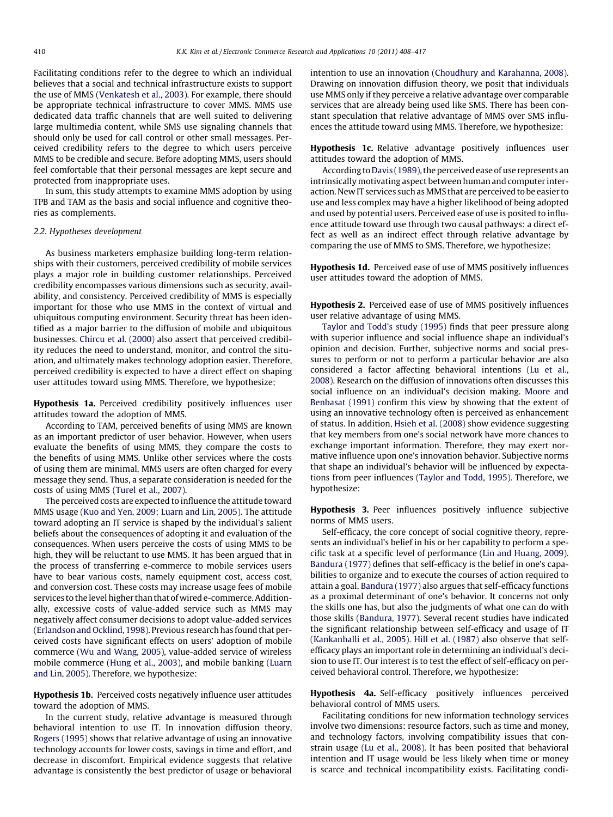<span id="page-2-0"></span>Facilitating conditions refer to the degree to which an individual believes that a social and technical infrastructure exists to support the use of MMS [\(Venkatesh et al., 2003\)](#page-9-0). For example, there should be appropriate technical infrastructure to cover MMS. MMS use dedicated data traffic channels that are well suited to delivering large multimedia content, while SMS use signaling channels that should only be used for call control or other small messages. Perceived credibility refers to the degree to which users perceive MMS to be credible and secure. Before adopting MMS, users should feel comfortable that their personal messages are kept secure and protected from inappropriate uses.

In sum, this study attempts to examine MMS adoption by using TPB and TAM as the basis and social influence and cognitive theories as complements.

## 2.2. Hypotheses development

As business marketers emphasize building long-term relationships with their customers, perceived credibility of mobile services plays a major role in building customer relationships. Perceived credibility encompasses various dimensions such as security, availability, and consistency. Perceived credibility of MMS is especially important for those who use MMS in the context of virtual and ubiquitous computing environment. Security threat has been identified as a major barrier to the diffusion of mobile and ubiquitous businesses. [Chircu et al. \(2000\)](#page-8-0) also assert that perceived credibility reduces the need to understand, monitor, and control the situation, and ultimately makes technology adoption easier. Therefore, perceived credibility is expected to have a direct effect on shaping user attitudes toward using MMS. Therefore, we hypothesize;

Hypothesis 1a. Perceived credibility positively influences user attitudes toward the adoption of MMS.

According to TAM, perceived benefits of using MMS are known as an important predictor of user behavior. However, when users evaluate the benefits of using MMS, they compare the costs to the benefits of using MMS. Unlike other services where the costs of using them are minimal, MMS users are often charged for every message they send. Thus, a separate consideration is needed for the costs of using MMS ([Turel et al., 2007\)](#page-9-0).

The perceived costs are expected to influence the attitude toward MMS usage [\(Kuo and Yen, 2009; Luarn and Lin, 2005\)](#page-8-0). The attitude toward adopting an IT service is shaped by the individual's salient beliefs about the consequences of adopting it and evaluation of the consequences. When users perceive the costs of using MMS to be high, they will be reluctant to use MMS. It has been argued that in the process of transferring e-commerce to mobile services users have to bear various costs, namely equipment cost, access cost, and conversion cost. These costs may increase usage fees of mobile services to the level higher than that of wired e-commerce. Additionally, excessive costs of value-added service such as MMS may negatively affect consumer decisions to adopt value-added services ([Erlandson and Ocklind, 1998](#page-8-0)). Previous research has found that perceived costs have significant effects on users' adoption of mobile commerce ([Wu and Wang, 2005\)](#page-9-0), value-added service of wireless mobile commerce ([Hung et al., 2003\)](#page-8-0), and mobile banking [\(Luarn](#page-8-0) [and Lin, 2005\)](#page-8-0). Therefore, we hypothesize:

Hypothesis 1b. Perceived costs negatively influence user attitudes toward the adoption of MMS.

In the current study, relative advantage is measured through behavioral intention to use IT. In innovation diffusion theory, [Rogers \(1995\)](#page-9-0) shows that relative advantage of using an innovative technology accounts for lower costs, savings in time and effort, and decrease in discomfort. Empirical evidence suggests that relative advantage is consistently the best predictor of usage or behavioral intention to use an innovation ([Choudhury and Karahanna, 2008\)](#page-8-0). Drawing on innovation diffusion theory, we posit that individuals use MMS only if they perceive a relative advantage over comparable services that are already being used like SMS. There has been constant speculation that relative advantage of MMS over SMS influences the attitude toward using MMS. Therefore, we hypothesize:

Hypothesis 1c. Relative advantage positively influences user attitudes toward the adoption of MMS.

According to [Davis \(1989\)](#page-8-0), the perceived ease of use represents an intrinsically motivating aspect between human and computer interaction. New IT services such as MMS that are perceived to be easier to use and less complex may have a higher likelihood of being adopted and used by potential users. Perceived ease of use is posited to influence attitude toward use through two causal pathways: a direct effect as well as an indirect effect through relative advantage by comparing the use of MMS to SMS. Therefore, we hypothesize:

Hypothesis 1d. Perceived ease of use of MMS positively influences user attitudes toward the adoption of MMS.

Hypothesis 2. Perceived ease of use of MMS positively influences user relative advantage of using MMS.

[Taylor and Todd's study \(1995\)](#page-9-0) finds that peer pressure along with superior influence and social influence shape an individual's opinion and decision. Further, subjective norms and social pressures to perform or not to perform a particular behavior are also considered a factor affecting behavioral intentions [\(Lu et al.,](#page-8-0) [2008\)](#page-8-0). Research on the diffusion of innovations often discusses this social influence on an individual's decision making. [Moore and](#page-8-0) [Benbasat \(1991\)](#page-8-0) confirm this view by showing that the extent of using an innovative technology often is perceived as enhancement of status. In addition, [Hsieh et al. \(2008\)](#page-8-0) show evidence suggesting that key members from one's social network have more chances to exchange important information. Therefore, they may exert normative influence upon one's innovation behavior. Subjective norms that shape an individual's behavior will be influenced by expectations from peer influences [\(Taylor and Todd, 1995](#page-9-0)). Therefore, we hypothesize:

Hypothesis 3. Peer influences positively influence subjective norms of MMS users.

Self-efficacy, the core concept of social cognitive theory, represents an individual's belief in his or her capability to perform a specific task at a specific level of performance [\(Lin and Huang, 2009\)](#page-8-0). [Bandura \(1977\)](#page-8-0) defines that self-efficacy is the belief in one's capabilities to organize and to execute the courses of action required to attain a goal. [Bandura \(1977\)](#page-8-0) also argues that self-efficacy functions as a proximal determinant of one's behavior. It concerns not only the skills one has, but also the judgments of what one can do with those skills ([Bandura, 1977](#page-8-0)). Several recent studies have indicated the significant relationship between self-efficacy and usage of IT ([Kankanhalli et al., 2005\)](#page-8-0). [Hill et al. \(1987\)](#page-8-0) also observe that selfefficacy plays an important role in determining an individual's decision to use IT. Our interest is to test the effect of self-efficacy on perceived behavioral control. Therefore, we hypothesize:

Hypothesis 4a. Self-efficacy positively influences perceived behavioral control of MMS users.

Facilitating conditions for new information technology services involve two dimensions: resource factors, such as time and money, and technology factors, involving compatibility issues that constrain usage [\(Lu et al., 2008](#page-8-0)). It has been posited that behavioral intention and IT usage would be less likely when time or money is scarce and technical incompatibility exists. Facilitating condi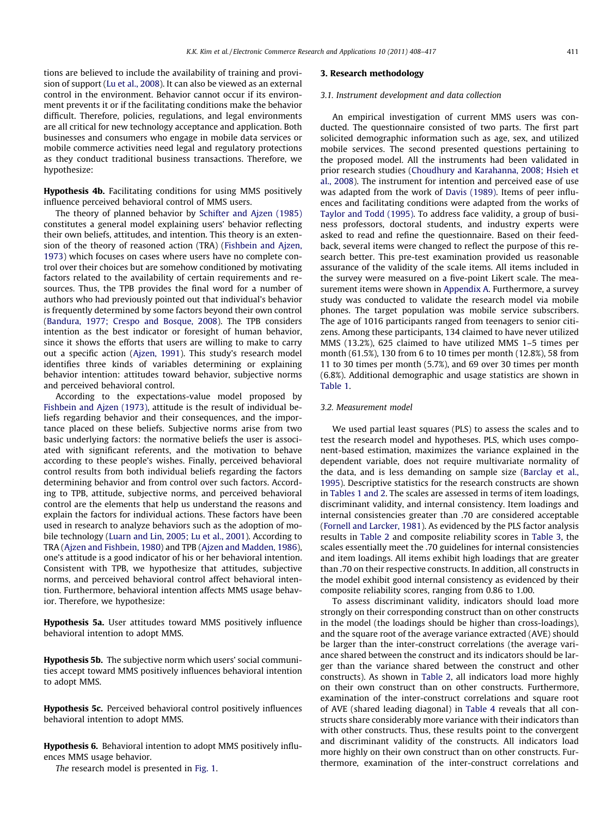<span id="page-3-0"></span>tions are believed to include the availability of training and provision of support ([Lu et al., 2008](#page-8-0)). It can also be viewed as an external control in the environment. Behavior cannot occur if its environment prevents it or if the facilitating conditions make the behavior difficult. Therefore, policies, regulations, and legal environments are all critical for new technology acceptance and application. Both businesses and consumers who engage in mobile data services or mobile commerce activities need legal and regulatory protections as they conduct traditional business transactions. Therefore, we hypothesize:

Hypothesis 4b. Facilitating conditions for using MMS positively influence perceived behavioral control of MMS users.

The theory of planned behavior by [Schifter and Ajzen \(1985\)](#page-9-0) constitutes a general model explaining users' behavior reflecting their own beliefs, attitudes, and intention. This theory is an extension of the theory of reasoned action (TRA) [\(Fishbein and Ajzen,](#page-8-0) [1973\)](#page-8-0) which focuses on cases where users have no complete control over their choices but are somehow conditioned by motivating factors related to the availability of certain requirements and resources. Thus, the TPB provides the final word for a number of authors who had previously pointed out that individual's behavior is frequently determined by some factors beyond their own control ([Bandura, 1977; Crespo and Bosque, 2008](#page-8-0)). The TPB considers intention as the best indicator or foresight of human behavior, since it shows the efforts that users are willing to make to carry out a specific action [\(Ajzen, 1991](#page-8-0)). This study's research model identifies three kinds of variables determining or explaining behavior intention: attitudes toward behavior, subjective norms and perceived behavioral control.

According to the expectations-value model proposed by [Fishbein and Ajzen \(1973\)](#page-8-0), attitude is the result of individual beliefs regarding behavior and their consequences, and the importance placed on these beliefs. Subjective norms arise from two basic underlying factors: the normative beliefs the user is associated with significant referents, and the motivation to behave according to these people's wishes. Finally, perceived behavioral control results from both individual beliefs regarding the factors determining behavior and from control over such factors. According to TPB, attitude, subjective norms, and perceived behavioral control are the elements that help us understand the reasons and explain the factors for individual actions. These factors have been used in research to analyze behaviors such as the adoption of mobile technology ([Luarn and Lin, 2005; Lu et al., 2001\)](#page-8-0). According to TRA ([Ajzen and Fishbein, 1980\)](#page-8-0) and TPB [\(Ajzen and Madden, 1986\)](#page-8-0), one's attitude is a good indicator of his or her behavioral intention. Consistent with TPB, we hypothesize that attitudes, subjective norms, and perceived behavioral control affect behavioral intention. Furthermore, behavioral intention affects MMS usage behavior. Therefore, we hypothesize:

Hypothesis 5a. User attitudes toward MMS positively influence behavioral intention to adopt MMS.

Hypothesis 5b. The subjective norm which users' social communities accept toward MMS positively influences behavioral intention to adopt MMS.

Hypothesis 5c. Perceived behavioral control positively influences behavioral intention to adopt MMS.

Hypothesis 6. Behavioral intention to adopt MMS positively influences MMS usage behavior.

The research model is presented in [Fig. 1.](#page-4-0)

## 3. Research methodology

## 3.1. Instrument development and data collection

An empirical investigation of current MMS users was conducted. The questionnaire consisted of two parts. The first part solicited demographic information such as age, sex, and utilized mobile services. The second presented questions pertaining to the proposed model. All the instruments had been validated in prior research studies [\(Choudhury and Karahanna, 2008; Hsieh et](#page-8-0) [al., 2008\)](#page-8-0). The instrument for intention and perceived ease of use was adapted from the work of [Davis \(1989\)](#page-8-0). Items of peer influences and facilitating conditions were adapted from the works of [Taylor and Todd \(1995\).](#page-9-0) To address face validity, a group of business professors, doctoral students, and industry experts were asked to read and refine the questionnaire. Based on their feedback, several items were changed to reflect the purpose of this research better. This pre-test examination provided us reasonable assurance of the validity of the scale items. All items included in the survey were measured on a five-point Likert scale. The measurement items were shown in [Appendix A.](#page-7-0) Furthermore, a survey study was conducted to validate the research model via mobile phones. The target population was mobile service subscribers. The age of 1016 participants ranged from teenagers to senior citizens. Among these participants, 134 claimed to have never utilized MMS (13.2%), 625 claimed to have utilized MMS 1–5 times per month (61.5%), 130 from 6 to 10 times per month (12.8%), 58 from 11 to 30 times per month (5.7%), and 69 over 30 times per month (6.8%). Additional demographic and usage statistics are shown in [Table 1](#page-4-0).

## 3.2. Measurement model

We used partial least squares (PLS) to assess the scales and to test the research model and hypotheses. PLS, which uses component-based estimation, maximizes the variance explained in the dependent variable, does not require multivariate normality of the data, and is less demanding on sample size ([Barclay et al.,](#page-8-0) [1995\)](#page-8-0). Descriptive statistics for the research constructs are shown in [Tables 1 and 2.](#page-4-0) The scales are assessed in terms of item loadings, discriminant validity, and internal consistency. Item loadings and internal consistencies greater than .70 are considered acceptable ([Fornell and Larcker, 1981\)](#page-8-0). As evidenced by the PLS factor analysis results in [Table 2](#page-5-0) and composite reliability scores in [Table 3](#page-5-0), the scales essentially meet the .70 guidelines for internal consistencies and item loadings. All items exhibit high loadings that are greater than .70 on their respective constructs. In addition, all constructs in the model exhibit good internal consistency as evidenced by their composite reliability scores, ranging from 0.86 to 1.00.

To assess discriminant validity, indicators should load more strongly on their corresponding construct than on other constructs in the model (the loadings should be higher than cross-loadings), and the square root of the average variance extracted (AVE) should be larger than the inter-construct correlations (the average variance shared between the construct and its indicators should be larger than the variance shared between the construct and other constructs). As shown in [Table 2](#page-5-0), all indicators load more highly on their own construct than on other constructs. Furthermore, examination of the inter-construct correlations and square root of AVE (shared leading diagonal) in [Table 4](#page-6-0) reveals that all constructs share considerably more variance with their indicators than with other constructs. Thus, these results point to the convergent and discriminant validity of the constructs. All indicators load more highly on their own construct than on other constructs. Furthermore, examination of the inter-construct correlations and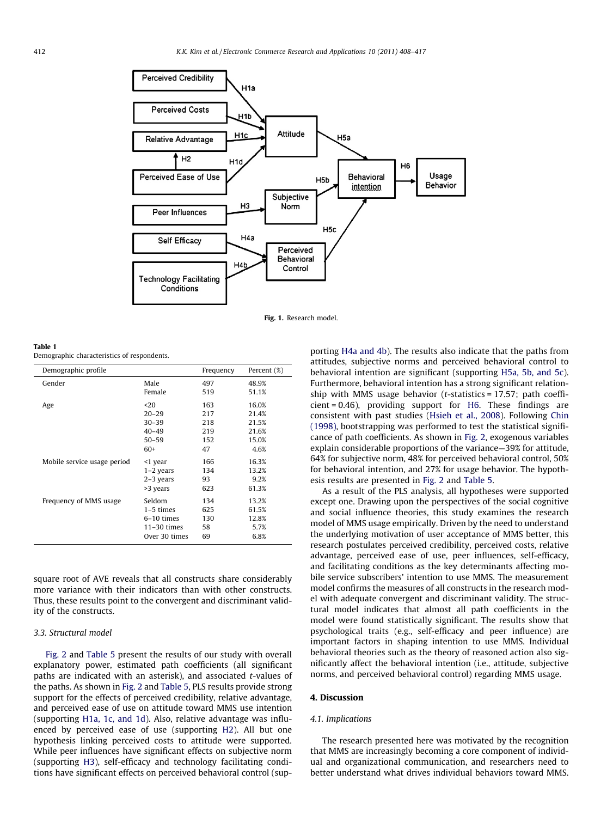<span id="page-4-0"></span>

Fig. 1. Research model.

Table 1 Demographic characteristics of respondents.

| Demographic profile         |               | Frequency | Percent (%) |
|-----------------------------|---------------|-----------|-------------|
| Gender                      | Male          | 497       | 48.9%       |
|                             | Female        | 519       | 51.1%       |
| Age                         | $20$          | 163       | 16.0%       |
|                             | $20 - 29$     | 217       | 21.4%       |
|                             | $30 - 39$     | 218       | 21.5%       |
|                             | $40 - 49$     | 219       | 21.6%       |
|                             | $50 - 59$     | 152       | 15.0%       |
|                             | $60+$         | 47        | 4.6%        |
| Mobile service usage period | <1 year       | 166       | 16.3%       |
|                             | $1-2$ years   | 134       | 13.2%       |
|                             | $2-3$ years   | 93        | 9.2%        |
|                             | >3 years      | 623       | 61.3%       |
| Frequency of MMS usage      | Seldom        | 134       | 13.2%       |
|                             | $1-5$ times   | 625       | 61.5%       |
|                             | 6-10 times    | 130       | 12.8%       |
|                             | $11-30$ times | 58        | 5.7%        |
|                             | Over 30 times | 69        | 6.8%        |

square root of AVE reveals that all constructs share considerably more variance with their indicators than with other constructs. Thus, these results point to the convergent and discriminant validity of the constructs.

## 3.3. Structural model

[Fig. 2](#page-6-0) and [Table 5](#page-6-0) present the results of our study with overall explanatory power, estimated path coefficients (all significant paths are indicated with an asterisk), and associated t-values of the paths. As shown in [Fig. 2](#page-6-0) and [Table 5](#page-6-0), PLS results provide strong support for the effects of perceived credibility, relative advantage, and perceived ease of use on attitude toward MMS use intention (supporting [H1a, 1c, and 1d](#page-2-0)). Also, relative advantage was influenced by perceived ease of use (supporting [H2](#page-2-0)). All but one hypothesis linking perceived costs to attitude were supported. While peer influences have significant effects on subjective norm (supporting [H3](#page-2-0)), self-efficacy and technology facilitating conditions have significant effects on perceived behavioral control (supporting [H4a and 4b\)](#page-2-0). The results also indicate that the paths from attitudes, subjective norms and perceived behavioral control to behavioral intention are significant (supporting [H5a, 5b, and 5c\)](#page-3-0). Furthermore, behavioral intention has a strong significant relationship with MMS usage behavior ( $t$ -statistics = 17.57; path coefficient = 0.46), providing support for [H6.](#page-3-0) These findings are consistent with past studies ([Hsieh et al., 2008](#page-8-0)). Following [Chin](#page-8-0) [\(1998\),](#page-8-0) bootstrapping was performed to test the statistical significance of path coefficients. As shown in [Fig. 2,](#page-6-0) exogenous variables explain considerable proportions of the variance—39% for attitude, 64% for subjective norm, 48% for perceived behavioral control, 50% for behavioral intention, and 27% for usage behavior. The hypothesis results are presented in [Fig. 2](#page-6-0) and [Table 5.](#page-6-0)

As a result of the PLS analysis, all hypotheses were supported except one. Drawing upon the perspectives of the social cognitive and social influence theories, this study examines the research model of MMS usage empirically. Driven by the need to understand the underlying motivation of user acceptance of MMS better, this research postulates perceived credibility, perceived costs, relative advantage, perceived ease of use, peer influences, self-efficacy, and facilitating conditions as the key determinants affecting mobile service subscribers' intention to use MMS. The measurement model confirms the measures of all constructs in the research model with adequate convergent and discriminant validity. The structural model indicates that almost all path coefficients in the model were found statistically significant. The results show that psychological traits (e.g., self-efficacy and peer influence) are important factors in shaping intention to use MMS. Individual behavioral theories such as the theory of reasoned action also significantly affect the behavioral intention (i.e., attitude, subjective norms, and perceived behavioral control) regarding MMS usage.

## 4. Discussion

## 4.1. Implications

The research presented here was motivated by the recognition that MMS are increasingly becoming a core component of individual and organizational communication, and researchers need to better understand what drives individual behaviors toward MMS.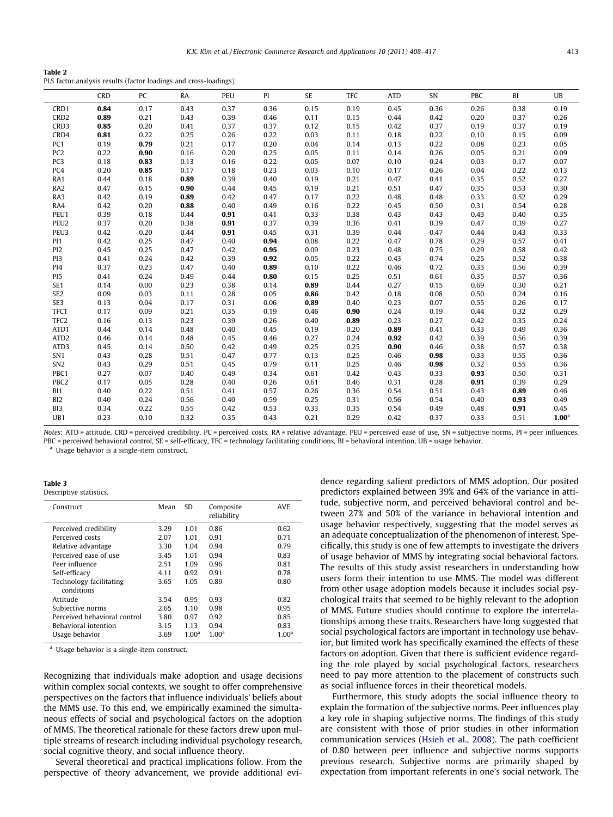#### <span id="page-5-0"></span>Table 2

PLS factor analysis results (factor loadings and cross-loadings).

|                  | <b>CRD</b> | PC   | <b>RA</b> | <b>PEU</b> | PI   | <b>SE</b> | <b>TFC</b> | <b>ATD</b> | SN   | PBC  | BI   | $U$ B             |
|------------------|------------|------|-----------|------------|------|-----------|------------|------------|------|------|------|-------------------|
| CRD1             | 0.84       | 0.17 | 0.43      | 0.37       | 0.36 | 0.15      | 0.19       | 0.45       | 0.36 | 0.26 | 0.38 | 0.19              |
| CRD <sub>2</sub> | 0.89       | 0.21 | 0.43      | 0.39       | 0.46 | 0.11      | 0.15       | 0.44       | 0.42 | 0.20 | 0.37 | 0.26              |
| CRD3             | 0.85       | 0.20 | 0.41      | 0.37       | 0.37 | 0.12      | 0.15       | 0.42       | 0.37 | 0.19 | 0.37 | 0.19              |
| CRD4             | 0.81       | 0.22 | 0.25      | 0.26       | 0.22 | 0.03      | 0.11       | 0.18       | 0.22 | 0.10 | 0.15 | 0.09              |
| PC1              | 0.19       | 0.79 | 0.21      | 0.17       | 0.20 | 0.04      | 0.14       | 0.13       | 0.22 | 0.08 | 0.23 | 0.05              |
| PC <sub>2</sub>  | 0.22       | 0.90 | 0.16      | 0.20       | 0.25 | 0.05      | 0.11       | 0.14       | 0.26 | 0.05 | 0.21 | 0.09              |
| PC <sub>3</sub>  | 0.18       | 0.83 | 0.13      | 0.16       | 0.22 | 0.05      | 0.07       | 0.10       | 0.24 | 0.03 | 0.17 | 0.07              |
| PC4              | 0.20       | 0.85 | 0.17      | 0.18       | 0.23 | 0.03      | 0.10       | 0.17       | 0.26 | 0.04 | 0.22 | 0.13              |
| RA1              | 0.44       | 0.18 | 0.89      | 0.39       | 0.40 | 0.19      | 0.21       | 0.47       | 0.41 | 0.35 | 0.52 | 0.27              |
| RA <sub>2</sub>  | 0.47       | 0.15 | 0.90      | 0.44       | 0.45 | 0.19      | 0.21       | 0.51       | 0.47 | 0.35 | 0.53 | 0.30              |
| RA3              | 0.42       | 0.19 | 0.89      | 0.42       | 0.47 | 0.17      | 0.22       | 0.48       | 0.48 | 0.33 | 0.52 | 0.29              |
| RA4              | 0.42       | 0.20 | 0.88      | 0.40       | 0.49 | 0.16      | 0.22       | 0.45       | 0.50 | 0.31 | 0.54 | 0.28              |
| PEU1             | 0.39       | 0.18 | 0.44      | 0.91       | 0.41 | 0.33      | 0.38       | 0.43       | 0.43 | 0.43 | 0.40 | 0.35              |
| PEU <sub>2</sub> | 0.37       | 0.20 | 0.38      | 0.91       | 0.37 | 0.39      | 0.36       | 0.41       | 0.39 | 0.47 | 0.39 | 0.27              |
| PEU <sub>3</sub> | 0.42       | 0.20 | 0.44      | 0.91       | 0.45 | 0.31      | 0.39       | 0.44       | 0.47 | 0.44 | 0.43 | 0.33              |
| PI <sub>1</sub>  | 0.42       | 0.25 | 0.47      | 0.40       | 0.94 | 0.08      | 0.22       | 0.47       | 0.78 | 0.29 | 0.57 | 0.41              |
| PI <sub>2</sub>  | 0.45       | 0.25 | 0.47      | 0.42       | 0.95 | 0.09      | 0.23       | 0.48       | 0.75 | 0.29 | 0.58 | 0.42              |
| PI3              | 0.41       | 0.24 | 0.42      | 0.39       | 0.92 | 0.05      | 0.22       | 0.43       | 0.74 | 0.25 | 0.52 | 0.38              |
| PI4              | 0.37       | 0.23 | 0.47      | 0.40       | 0.89 | 0.10      | 0.22       | 0.46       | 0.72 | 0.33 | 0.56 | 0.39              |
| PI <sub>5</sub>  | 0.41       | 0.24 | 0.49      | 0.44       | 0.80 | 0.15      | 0.25       | 0.51       | 0.61 | 0.35 | 0.57 | 0.36              |
| SE <sub>1</sub>  | 0.14       | 0.00 | 0.23      | 0.38       | 0.14 | 0.89      | 0.44       | 0.27       | 0.15 | 0.69 | 0.30 | 0.21              |
| SE <sub>2</sub>  | 0.09       | 0.03 | 0.11      | 0.28       | 0.05 | 0.86      | 0.42       | 0.18       | 0.08 | 0.50 | 0.24 | 0.16              |
| SE3              | 0.13       | 0.04 | 0.17      | 0.31       | 0.06 | 0.89      | 0.40       | 0.23       | 0.07 | 0.55 | 0.26 | 0.17              |
| TFC1             | 0.17       | 0.09 | 0.21      | 0.35       | 0.19 | 0.46      | 0.90       | 0.24       | 0.19 | 0.44 | 0.32 | 0.29              |
| TFC <sub>2</sub> | 0.16       | 0.13 | 0.23      | 0.39       | 0.26 | 0.40      | 0.89       | 0.23       | 0.27 | 0.42 | 0.35 | 0.24              |
| ATD1             | 0.44       | 0.14 | 0.48      | 0.40       | 0.45 | 0.19      | 0.20       | 0.89       | 0.41 | 0.33 | 0.49 | 0.36              |
| ATD <sub>2</sub> | 0.46       | 0.14 | 0.48      | 0.45       | 0.46 | 0.27      | 0.24       | 0.92       | 0.42 | 0.39 | 0.56 | 0.39              |
| ATD3             | 0.45       | 0.14 | 0.50      | 0.42       | 0.49 | 0.25      | 0.25       | 0.90       | 0.46 | 0.38 | 0.57 | 0.38              |
| SN <sub>1</sub>  | 0.43       | 0.28 | 0.51      | 0.47       | 0.77 | 0.13      | 0.25       | 0.46       | 0.98 | 0.33 | 0.55 | 0.36              |
| SN <sub>2</sub>  | 0.43       | 0.29 | 0.51      | 0.45       | 0.79 | 0.11      | 0.25       | 0.46       | 0.98 | 0.32 | 0.55 | 0.36              |
| PBC1             | 0.27       | 0.07 | 0.40      | 0.49       | 0.34 | 0.61      | 0.42       | 0.43       | 0.33 | 0.93 | 0.50 | 0.31              |
| PBC <sub>2</sub> | 0.17       | 0.05 | 0.28      | 0.40       | 0.26 | 0.61      | 0.46       | 0.31       | 0.28 | 0.91 | 0.39 | 0.29              |
| BI1              | 0.40       | 0.22 | 0.51      | 0.41       | 0.57 | 0.26      | 0.36       | 0.54       | 0.51 | 0.43 | 0.89 | 0.46              |
| BI <sub>2</sub>  | 0.40       | 0.24 | 0.56      | 0.40       | 0.59 | 0.25      | 0.31       | 0.56       | 0.54 | 0.40 | 0.93 | 0.49              |
| BI3              | 0.34       | 0.22 | 0.55      | 0.42       | 0.53 | 0.33      | 0.35       | 0.54       | 0.49 | 0.48 | 0.91 | 0.45              |
| UB1              | 0.23       | 0.10 | 0.32      | 0.35       | 0.43 | 0.21      | 0.29       | 0.42       | 0.37 | 0.33 | 0.51 | 1.00 <sup>a</sup> |

Notes: ATD = attitude, CRD = perceived credibility, PC = perceived costs, RA = relative advantage, PEU = perceived ease of use, SN = subjective norms, PI = peer influences, PBC = perceived behavioral control, SE = self-efficacy, TFC = technology facilitating conditions, BI = behavioral intention, UB = usage behavior.

<sup>a</sup> Usage behavior is a single-item construct.

Table 3 Descriptive statistics.

| Construct                             | Mean | <b>SD</b>         | Composite<br>reliability | <b>AVE</b>        |
|---------------------------------------|------|-------------------|--------------------------|-------------------|
| Perceived credibility                 | 3.29 | 1.01              | 0.86                     | 0.62              |
| Perceived costs                       | 2.07 | 1.01              | 0.91                     | 0.71              |
| Relative advantage                    | 3.30 | 1.04              | 0.94                     | 0.79              |
| Perceived ease of use                 | 3.45 | 1.01              | 0.94                     | 0.83              |
| Peer influence                        | 2.51 | 1.09              | 0.96                     | 0.81              |
| Self-efficacy                         | 4.11 | 0.92              | 0.91                     | 0.78              |
| Technology facilitating<br>conditions | 3.65 | 1.05              | 0.89                     | 0.80              |
| Attitude                              | 3.54 | 0.95              | 0.93                     | 0.82              |
| Subjective norms                      | 2.65 | 1.10              | 0.98                     | 0.95              |
| Perceived behavioral control          | 3.80 | 0.97              | 0.92                     | 0.85              |
| Behavioral intention                  | 3.15 | 1.13              | 0.94                     | 0.83              |
| Usage behavior                        | 3.69 | 1.00 <sup>a</sup> | 1.00 <sup>a</sup>        | 1.00 <sup>a</sup> |
|                                       |      |                   |                          |                   |

<sup>a</sup> Usage behavior is a single-item construct.

Recognizing that individuals make adoption and usage decisions within complex social contexts, we sought to offer comprehensive perspectives on the factors that influence individuals' beliefs about the MMS use. To this end, we empirically examined the simultaneous effects of social and psychological factors on the adoption of MMS. The theoretical rationale for these factors drew upon multiple streams of research including individual psychology research, social cognitive theory, and social influence theory.

Several theoretical and practical implications follow. From the perspective of theory advancement, we provide additional evidence regarding salient predictors of MMS adoption. Our posited predictors explained between 39% and 64% of the variance in attitude, subjective norm, and perceived behavioral control and between 27% and 50% of the variance in behavioral intention and usage behavior respectively, suggesting that the model serves as an adequate conceptualization of the phenomenon of interest. Specifically, this study is one of few attempts to investigate the drivers of usage behavior of MMS by integrating social behavioral factors. The results of this study assist researchers in understanding how users form their intention to use MMS. The model was different from other usage adoption models because it includes social psychological traits that seemed to be highly relevant to the adoption of MMS. Future studies should continue to explore the interrelationships among these traits. Researchers have long suggested that social psychological factors are important in technology use behavior, but limited work has specifically examined the effects of these factors on adoption. Given that there is sufficient evidence regarding the role played by social psychological factors, researchers need to pay more attention to the placement of constructs such as social influence forces in their theoretical models.

Furthermore, this study adopts the social influence theory to explain the formation of the subjective norms. Peer influences play a key role in shaping subjective norms. The findings of this study are consistent with those of prior studies in other information communication services [\(Hsieh et al., 2008\)](#page-8-0). The path coefficient of 0.80 between peer influence and subjective norms supports previous research. Subjective norms are primarily shaped by expectation from important referents in one's social network. The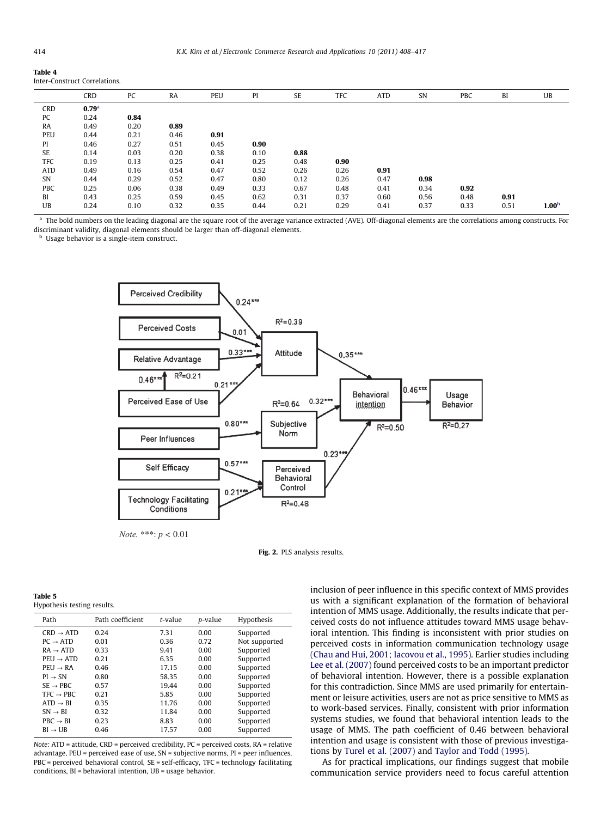#### <span id="page-6-0"></span>Table 4

Inter-Construct Correlations.

|            | CRD               | PC   | RA   | PEU  | PI   | SE   | TFC  | <b>ATD</b> | SN   | PBC  | BI   | UB                |
|------------|-------------------|------|------|------|------|------|------|------------|------|------|------|-------------------|
| <b>CRD</b> | 0.79 <sup>a</sup> |      |      |      |      |      |      |            |      |      |      |                   |
| PC         | 0.24              | 0.84 |      |      |      |      |      |            |      |      |      |                   |
| RA         | 0.49              | 0.20 | 0.89 |      |      |      |      |            |      |      |      |                   |
| <b>PEU</b> | 0.44              | 0.21 | 0.46 | 0.91 |      |      |      |            |      |      |      |                   |
| PI         | 0.46              | 0.27 | 0.51 | 0.45 | 0.90 |      |      |            |      |      |      |                   |
| SE         | 0.14              | 0.03 | 0.20 | 0.38 | 0.10 | 0.88 |      |            |      |      |      |                   |
| TFC        | 0.19              | 0.13 | 0.25 | 0.41 | 0.25 | 0.48 | 0.90 |            |      |      |      |                   |
| ATD        | 0.49              | 0.16 | 0.54 | 0.47 | 0.52 | 0.26 | 0.26 | 0.91       |      |      |      |                   |
| SN         | 0.44              | 0.29 | 0.52 | 0.47 | 0.80 | 0.12 | 0.26 | 0.47       | 0.98 |      |      |                   |
| PBC        | 0.25              | 0.06 | 0.38 | 0.49 | 0.33 | 0.67 | 0.48 | 0.41       | 0.34 | 0.92 |      |                   |
| BI         | 0.43              | 0.25 | 0.59 | 0.45 | 0.62 | 0.31 | 0.37 | 0.60       | 0.56 | 0.48 | 0.91 |                   |
| UB         | 0.24              | 0.10 | 0.32 | 0.35 | 0.44 | 0.21 | 0.29 | 0.41       | 0.37 | 0.33 | 0.51 | 1.00 <sup>b</sup> |
|            |                   |      |      |      |      |      |      |            |      |      |      |                   |

<sup>a</sup> The bold numbers on the leading diagonal are the square root of the average variance extracted (AVE). Off-diagonal elements are the correlations among constructs. For discriminant validity, diagonal elements should be larger than off-diagonal elements.

**b** Usage behavior is a single-item construct.



Fig. 2. PLS analysis results.

| Table 5 |                             |
|---------|-----------------------------|
|         | Hypothesis testing results. |

| Path                  | Path coefficient | $t$ -value | p-value | Hypothesis    |
|-----------------------|------------------|------------|---------|---------------|
| $CRD \rightarrow ATP$ | 0.24             | 7.31       | 0.00    | Supported     |
| $PC \rightarrow ATP$  | 0.01             | 0.36       | 0.72    | Not supported |
| $RA \rightarrow ATD$  | 0.33             | 9.41       | 0.00    | Supported     |
| $PEU \rightarrow ATP$ | 0.21             | 6.35       | 0.00    | Supported     |
| $PEU \rightarrow RA$  | 0.46             | 17.15      | 0.00    | Supported     |
| $PI \rightarrow SN$   | 0.80             | 58.35      | 0.00    | Supported     |
| $SE \rightarrow PBC$  | 0.57             | 19.44      | 0.00    | Supported     |
| $TFC \rightarrow PRC$ | 0.21             | 5.85       | 0.00    | Supported     |
| $ATD \rightarrow BI$  | 0.35             | 11.76      | 0.00    | Supported     |
| $SN \rightarrow BI$   | 0.32             | 11.84      | 0.00    | Supported     |
| $PBC \rightarrow BI$  | 0.23             | 8.83       | 0.00    | Supported     |
| $BI \rightarrow UB$   | 0.46             | 17.57      | 0.00    | Supported     |

Note: ATD = attitude, CRD = perceived credibility, PC = perceived costs, RA = relative advantage, PEU = perceived ease of use, SN = subjective norms, PI = peer influences, PBC = perceived behavioral control, SE = self-efficacy, TFC = technology facilitating conditions, BI = behavioral intention, UB = usage behavior.

inclusion of peer influence in this specific context of MMS provides us with a significant explanation of the formation of behavioral intention of MMS usage. Additionally, the results indicate that perceived costs do not influence attitudes toward MMS usage behavioral intention. This finding is inconsistent with prior studies on perceived costs in information communication technology usage ([Chau and Hui, 2001; Iacovou et al., 1995\)](#page-8-0). Earlier studies including [Lee et al. \(2007\)](#page-8-0) found perceived costs to be an important predictor of behavioral intention. However, there is a possible explanation for this contradiction. Since MMS are used primarily for entertainment or leisure activities, users are not as price sensitive to MMS as to work-based services. Finally, consistent with prior information systems studies, we found that behavioral intention leads to the usage of MMS. The path coefficient of 0.46 between behavioral intention and usage is consistent with those of previous investigations by [Turel et al. \(2007\)](#page-9-0) and [Taylor and Todd \(1995\).](#page-9-0)

As for practical implications, our findings suggest that mobile communication service providers need to focus careful attention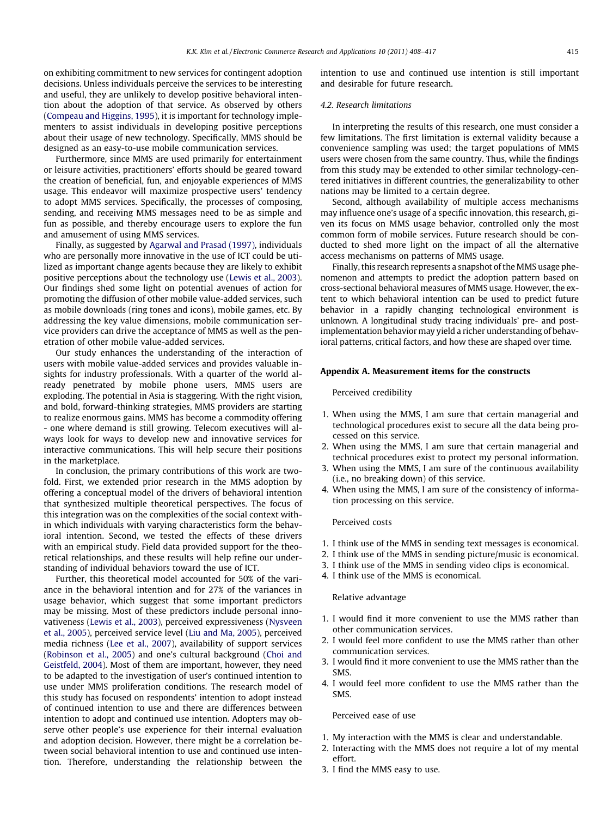<span id="page-7-0"></span>on exhibiting commitment to new services for contingent adoption decisions. Unless individuals perceive the services to be interesting and useful, they are unlikely to develop positive behavioral intention about the adoption of that service. As observed by others ([Compeau and Higgins, 1995](#page-8-0)), it is important for technology implementers to assist individuals in developing positive perceptions about their usage of new technology. Specifically, MMS should be designed as an easy-to-use mobile communication services.

Furthermore, since MMS are used primarily for entertainment or leisure activities, practitioners' efforts should be geared toward the creation of beneficial, fun, and enjoyable experiences of MMS usage. This endeavor will maximize prospective users' tendency to adopt MMS services. Specifically, the processes of composing, sending, and receiving MMS messages need to be as simple and fun as possible, and thereby encourage users to explore the fun and amusement of using MMS services.

Finally, as suggested by [Agarwal and Prasad \(1997\),](#page-8-0) individuals who are personally more innovative in the use of ICT could be utilized as important change agents because they are likely to exhibit positive perceptions about the technology use ([Lewis et al., 2003\)](#page-8-0). Our findings shed some light on potential avenues of action for promoting the diffusion of other mobile value-added services, such as mobile downloads (ring tones and icons), mobile games, etc. By addressing the key value dimensions, mobile communication service providers can drive the acceptance of MMS as well as the penetration of other mobile value-added services.

Our study enhances the understanding of the interaction of users with mobile value-added services and provides valuable insights for industry professionals. With a quarter of the world already penetrated by mobile phone users, MMS users are exploding. The potential in Asia is staggering. With the right vision, and bold, forward-thinking strategies, MMS providers are starting to realize enormous gains. MMS has become a commodity offering - one where demand is still growing. Telecom executives will always look for ways to develop new and innovative services for interactive communications. This will help secure their positions in the marketplace.

In conclusion, the primary contributions of this work are twofold. First, we extended prior research in the MMS adoption by offering a conceptual model of the drivers of behavioral intention that synthesized multiple theoretical perspectives. The focus of this integration was on the complexities of the social context within which individuals with varying characteristics form the behavioral intention. Second, we tested the effects of these drivers with an empirical study. Field data provided support for the theoretical relationships, and these results will help refine our understanding of individual behaviors toward the use of ICT.

Further, this theoretical model accounted for 50% of the variance in the behavioral intention and for 27% of the variances in usage behavior, which suggest that some important predictors may be missing. Most of these predictors include personal innovativeness [\(Lewis et al., 2003](#page-8-0)), perceived expressiveness ([Nysveen](#page-9-0) [et al., 2005](#page-9-0)), perceived service level ([Liu and Ma, 2005\)](#page-8-0), perceived media richness ([Lee et al., 2007\)](#page-8-0), availability of support services ([Robinson et al., 2005](#page-9-0)) and one's cultural background [\(Choi and](#page-8-0) [Geistfeld, 2004](#page-8-0)). Most of them are important, however, they need to be adapted to the investigation of user's continued intention to use under MMS proliferation conditions. The research model of this study has focused on respondents' intention to adopt instead of continued intention to use and there are differences between intention to adopt and continued use intention. Adopters may observe other people's use experience for their internal evaluation and adoption decision. However, there might be a correlation between social behavioral intention to use and continued use intention. Therefore, understanding the relationship between the intention to use and continued use intention is still important and desirable for future research.

## 4.2. Research limitations

In interpreting the results of this research, one must consider a few limitations. The first limitation is external validity because a convenience sampling was used; the target populations of MMS users were chosen from the same country. Thus, while the findings from this study may be extended to other similar technology-centered initiatives in different countries, the generalizability to other nations may be limited to a certain degree.

Second, although availability of multiple access mechanisms may influence one's usage of a specific innovation, this research, given its focus on MMS usage behavior, controlled only the most common form of mobile services. Future research should be conducted to shed more light on the impact of all the alternative access mechanisms on patterns of MMS usage.

Finally, this research represents a snapshot of the MMS usage phenomenon and attempts to predict the adoption pattern based on cross-sectional behavioral measures of MMS usage. However, the extent to which behavioral intention can be used to predict future behavior in a rapidly changing technological environment is unknown. A longitudinal study tracing individuals' pre- and postimplementation behavior may yield a richer understanding of behavioral patterns, critical factors, and how these are shaped over time.

## Appendix A. Measurement items for the constructs

## Perceived credibility

- 1. When using the MMS, I am sure that certain managerial and technological procedures exist to secure all the data being processed on this service.
- 2. When using the MMS, I am sure that certain managerial and technical procedures exist to protect my personal information.
- 3. When using the MMS, I am sure of the continuous availability (i.e., no breaking down) of this service.
- 4. When using the MMS, I am sure of the consistency of information processing on this service.

## Perceived costs

- 1. I think use of the MMS in sending text messages is economical.
- 2. I think use of the MMS in sending picture/music is economical.
- 3. I think use of the MMS in sending video clips is economical.
- 4. I think use of the MMS is economical.

#### Relative advantage

- 1. I would find it more convenient to use the MMS rather than other communication services.
- 2. I would feel more confident to use the MMS rather than other communication services.
- 3. I would find it more convenient to use the MMS rather than the SMS.
- 4. I would feel more confident to use the MMS rather than the SMS.

### Perceived ease of use

- 1. My interaction with the MMS is clear and understandable.
- 2. Interacting with the MMS does not require a lot of my mental effort.
- 3. I find the MMS easy to use.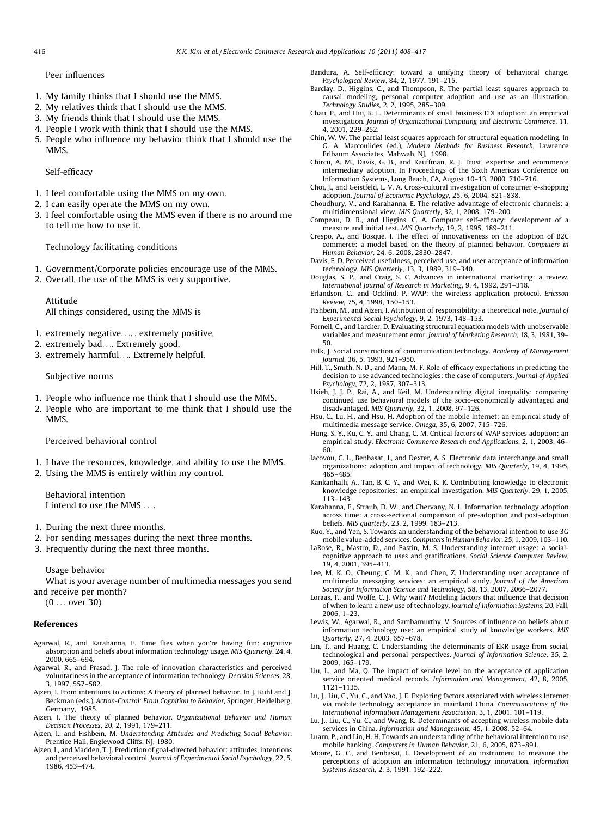## <span id="page-8-0"></span>Peer influences

- 1. My family thinks that I should use the MMS.
- 2. My relatives think that I should use the MMS.
- 3. My friends think that I should use the MMS.
- 4. People I work with think that I should use the MMS.
- 5. People who influence my behavior think that I should use the MMS.

## Self-efficacy

- 1. I feel comfortable using the MMS on my own.
- 2. I can easily operate the MMS on my own.
- 3. I feel comfortable using the MMS even if there is no around me to tell me how to use it.

Technology facilitating conditions

- 1. Government/Corporate policies encourage use of the MMS.
- 2. Overall, the use of the MMS is very supportive.

Attitude All things considered, using the MMS is

- 1. extremely negative.... . extremely positive,
- 2. extremely bad.... Extremely good,
- 3. extremely harmful.... Extremely helpful.

Subjective norms

- 1. People who influence me think that I should use the MMS.
- 2. People who are important to me think that I should use the MMS.

Perceived behavioral control

- 1. I have the resources, knowledge, and ability to use the MMS.
- 2. Using the MMS is entirely within my control.

Behavioral intention I intend to use the MMS ....

- 1. During the next three months.
- 2. For sending messages during the next three months.
- 3. Frequently during the next three months.

#### Usage behavior

What is your average number of multimedia messages you send and receive per month?

(0 ... over 30)

## References

- Agarwal, R., and Karahanna, E. Time flies when you're having fun: cognitive absorption and beliefs about information technology usage. MIS Quarterly, 24, 4, 2000, 665–694.
- Agarwal, R., and Prasad, J. The role of innovation characteristics and perceived voluntariness in the acceptance of information technology. Decision Sciences, 28, 3, 1997, 557–582.
- Ajzen, I. From intentions to actions: A theory of planned behavior. In J. Kuhl and J. Beckman (eds.), Action-Control: From Cognition to Behavior, Springer, Heidelberg, Germany, 1985.
- Ajzen, I. The theory of planned behavior. Organizational Behavior and Human Decision Processes, 20, 2, 1991, 179–211.
- Ajzen, I., and Fishbein, M. Understanding Attitudes and Predicting Social Behavior. Prentice Hall, Englewood Cliffs, NJ, 1980.
- Ajzen, I., and Madden, T. J. Prediction of goal-directed behavior: attitudes, intentions and perceived behavioral control. Journal of Experimental Social Psychology, 22, 5, 1986, 453–474.
- Bandura, A. Self-efficacy: toward a unifying theory of behavioral change. Psychological Review, 84, 2, 1977, 191–215.
- Barclay, D., Higgins, C., and Thompson, R. The partial least squares approach to causal modeling, personal computer adoption and use as an illustration. Technology Studies, 2, 2, 1995, 285–309.
- Chau, P., and Hui, K. L. Determinants of small business EDI adoption: an empirical investigation. Journal of Organizational Computing and Electronic Commerce, 11, 4, 2001, 229–252.
- Chin, W. W. The partial least squares approach for structural equation modeling. In G. A. Marcoulides (ed.), Modern Methods for Business Research, Lawrence Erlbaum Associates, Mahwah, NJ, 1998.
- Chircu, A. M., Davis, G. B., and Kauffman, R. J. Trust, expertise and ecommerce intermediary adoption. In Proceedings of the Sixth Americas Conference on Information Systems, Long Beach, CA, August 10–13, 2000, 710–716.
- Choi, J., and Geistfeld, L. V. A. Cross-cultural investigation of consumer e-shopping adoption. Journal of Economic Psychology, 25, 6, 2004, 821–838.
- Choudhury, V., and Karahanna, E. The relative advantage of electronic channels: a multidimensional view. MIS Quarterly, 32, 1, 2008, 179–200.
- Compeau, D. R., and Higgins, C. A. Computer self-efficacy: development of a measure and initial test. MIS Quarterly, 19, 2, 1995, 189–211.
- Crespo, A., and Bosque, I. The effect of innovativeness on the adoption of B2C commerce: a model based on the theory of planned behavior. Computers in Human Behavior, 24, 6, 2008, 2830–2847.
- Davis, F. D. Perceived usefulness, perceived use, and user acceptance of information technology. MIS Quarterly, 13, 3, 1989, 319–340.
- Douglas, S. P., and Craig, S. C. Advances in international marketing: a review. International Journal of Research in Marketing, 9, 4, 1992, 291–318.
- Erlandson, C., and Ocklind, P. WAP: the wireless application protocol. Ericsson Review, 75, 4, 1998, 150–153.
- Fishbein, M., and Ajzen, I. Attribution of responsibility: a theoretical note. Journal of Experimental Social Psychology, 9, 2, 1973, 148–153.
- Fornell, C., and Larcker, D. Evaluating structural equation models with unobservable variables and measurement error. Journal of Marketing Research, 18, 3, 1981, 39– 50.
- Fulk, J. Social construction of communication technology. Academy of Management Journal, 36, 5, 1993, 921–950.
- Hill, T., Smith, N. D., and Mann, M. F. Role of efficacy expectations in predicting the decision to use advanced technologies: the case of computers. Journal of Applied Psychology, 72, 2, 1987, 307–313.
- Hsieh, J. J. P., Rai, A., and Keil, M. Understanding digital inequality: comparing continued use behavioral models of the socio-economically advantaged and disadvantaged. MIS Quarterly, 32, 1, 2008, 97–126.
- Hsu, C., Lu, H., and Hsu, H. Adoption of the mobile Internet: an empirical study of multimedia message service. Omega, 35, 6, 2007, 715–726.
- Hung, S. Y., Ku, C. Y., and Chang, C. M. Critical factors of WAP services adoption: an empirical study. Electronic Commerce Research and Applications, 2, 1, 2003, 46– 60.
- Iacovou, C. L., Benbasat, I., and Dexter, A. S. Electronic data interchange and small organizations: adoption and impact of technology. MIS Quarterly, 19, 4, 1995, 465–485.
- Kankanhalli, A., Tan, B. C. Y., and Wei, K. K. Contributing knowledge to electronic knowledge repositories: an empirical investigation. MIS Quarterly, 29, 1, 2005, 113–143.
- Karahanna, E., Straub, D. W., and Chervany, N. L. Information technology adoption across time: a cross-sectional comparison of pre-adoption and post-adoption beliefs. MIS quarterly, 23, 2, 1999, 183–213.

Kuo, Y., and Yen, S. Towards an understanding of the behavioral intention to use 3G mobile value-added services. Computers in Human Behavior, 25, 1, 2009, 103–110.

- LaRose, R., Mastro, D., and Eastin, M. S. Understanding internet usage: a socialcognitive approach to uses and gratifications. Social Science Computer Review, 19, 4, 2001, 395–413.
- Lee, M. K. O., Cheung, C. M. K., and Chen, Z. Understanding user acceptance of multimedia messaging services: an empirical study. Journal of the American Society for Information Science and Technology, 58, 13, 2007, 2066–2077.
- Loraas, T., and Wolfe, C. J. Why wait? Modeling factors that influence that decision of when to learn a new use of technology. Journal of Information Systems, 20, Fall, 2006, 1–23.
- Lewis, W., Agarwal, R., and Sambamurthy, V. Sources of influence on beliefs about information technology use: an empirical study of knowledge workers. MIS Quarterly, 27, 4, 2003, 657–678.
- Lin, T., and Huang, C. Understanding the determinants of EKR usage from social, technological and personal perspectives. Journal of Information Science, 35, 2, 2009, 165–179.
- Liu, L., and Ma, Q. The impact of service level on the acceptance of application service oriented medical records. Information and Management, 42, 8, 2005, 1121–1135.
- Lu, J., Liu, C., Yu, C., and Yao, J. E. Exploring factors associated with wireless Internet via mobile technology acceptance in mainland China. Communications of the International Information Management Association, 3, 1, 2001, 101–119.
- Lu, J., Liu, C., Yu, C., and Wang, K. Determinants of accepting wireless mobile data services in China. Information and Management, 45, 1, 2008, 52–64.
- Luarn, P., and Lin, H. H. Towards an understanding of the behavioral intention to use mobile banking. Computers in Human Behavior, 21, 6, 2005, 873–891.
- Moore, G. C., and Benbasat, L. Development of an instrument to measure the perceptions of adoption an information technology innovation. Information Systems Research, 2, 3, 1991, 192–222.